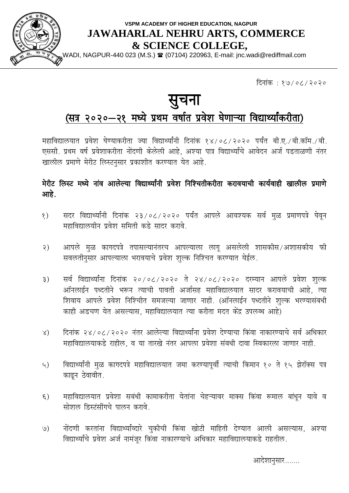

### **VSPM ACADEMY OF HIGHER EDUCATION, NAGPUR JAWAHARLAL NEHRU ARTS, COMMERCE & SCIENCE COLLEGE,**

,WADI, NAGPUR-440 023 (M.S.) ☎ (07104) 220963, E-mail: jnc.wadi@rediffmail.com

दिनांक $\cdot$  १७/०८/२०२०

# सुचना

## (सत्र २०२०-२१ मध्ये प्रथम वर्षात प्रवेश घेणाऱ्या विद्यार्थ्यांकरीता)

महाविद्यालयात प्रवेश घेण्याकरीता ज्या विद्यार्थ्यांनी दिनांक १४/०८/२०२० पर्यंत बी.ए./बी.कॉम./बी. एससी. प्रथम वर्ष प्रवेशाकरीता नोंदणी केलेली आहे. अश्या पात्र विद्यार्थ्यांचे आवेदन अर्ज पडताळणी नंतर खालील प्रमाणे मेरीट लिस्टनसार प्रकाशीत करण्यात येत आहे.

मेरीट लिस्ट मध्ये नांव आलेल्या विद्यार्थ्यांनी प्रवेश निश्चितीकरीता करावयाची कार्यवाही खालील प्रमाणे आहे.

- १) सदर विद्यार्थ्यांनी दिनांक २३/०८/२०२० पर्यंत आपले आवश्यक सर्व मळ प्रमाणपत्रे घेवन महाविद्यालयीन प्रवेश समिती कडे सादर करावे.
- २) आपले मूळ कागदपत्रे तपासल्यानंतरच आपल्याला लागू असलेली शासकीस/अशासकीय फी सवलतीनसार आपल्याला भरावयाचे प्रवेश शुल्क निश्चित करण्यात येईल.
- ३) सर्व विद्यार्थ्यांना दिनांक २०/०८/२०२० ते २४/०८/२०२० दरम्यान आपले प्रवेश शुल्क आॅनलाईन पध्दतीने भरून त्याची पावती अर्जासह महाविद्यालयात सादर करावयाची आहे, त्या शिवाय आपले प्रवेश निश्चिति समजल्या जाणार नाही. (ऑनलाईन पध्दतीने शुल्क भरण्यासंबधी काही अडचण येत असल्यास, महाविद्यालयात त्या करीता मदत केंद्र उपलब्ध आहे)
- ४) दिनांक २४/०८/२०२० नंतर आलेल्या विद्यार्थ्यांना प्रवेश देण्याचा किंवा नाकारण्याचे सर्व अधिकार महाविद्यालयाकडे राहील, व या तारखे नंतर आपला प्रवेशा संबधी दावा स्विकारला जाणार नाही.
- ५) विद्यार्थ्यांनी मुळ कागदपत्रे महाविद्यालयात जमा करण्यापूर्वी त्याची किमान १० ते १५ झेरॉक्स पत्र काढन ठेवावीत.
- ६) महाविद्यालयात प्रवेशा सबंधी कामाकरीता येतांना चेहऱ्यावर माक्स किंवा रूमाल बांधून यावे व सोशल डिस्टंसींगचे पालन करावे.
- ७) नोंदणी करतांना विद्यार्थ्याव्दारे चुकीची किंवा खोटी माहिती देण्यात आली असल्यास, अश्या विद्यार्थ्याचे प्रवेश अर्ज नामंजुर किंवा नाकारण्याचे अधिकार महाविद्यालयाकडे राहतील.

आदेशानुसार.......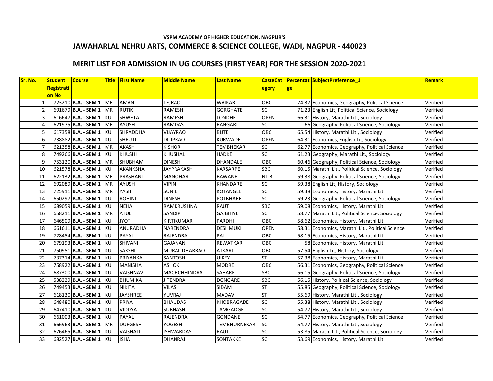#### **VSPM ACADEMY OF HIGHER EDUCATION, NAGPUR'S JAWAHARLAL NEHRU ARTS, COMMERCE & SCIENCE COLLEGE, WADI, NAGPUR - 440023**

#### **MERIT LIST FOR ADMISSION IN UG COURSES (FIRST YEAR) FOR THE SESSION 2020-2021**

| Sr. No. | <b>Student</b> | <b>Course</b>            |            | <b>Title First Name</b> | <b>Middle Name</b>   | <b>Last Name</b>    | <b>CasteCat</b> |    | <b>Percentat SubjectPreference 1</b>             | <b>Remark</b> |
|---------|----------------|--------------------------|------------|-------------------------|----------------------|---------------------|-----------------|----|--------------------------------------------------|---------------|
|         | Registrati     |                          |            |                         |                      |                     | egory           | ge |                                                  |               |
|         | on No          |                          |            |                         |                      |                     |                 |    |                                                  |               |
|         |                | 723210 B.A. - SEM 1   MR |            | <b>AMAN</b>             | <b>TEJRAO</b>        | <b>WAIKAR</b>       | OBC             |    | 74.37 Economics, Geography, Political Science    | Verified      |
|         |                | 691679 B.A. - SEM 1      | MR         | <b>RUTIK</b>            | RAMESH               | <b>GORGHATE</b>     | <b>SC</b>       |    | 71.23 English Lit, Political Science, Sociology  | Verified      |
|         |                | 616647 B.A. - SEM 1 KU   |            | <b>SHWETA</b>           | RAMESH               | <b>LONDHE</b>       | <b>OPEN</b>     |    | 66.31 History, Marathi Lit., Sociology           | Verified      |
|         |                | 621975 B.A. - SEM 1      | <b>MR</b>  | <b>AYUSH</b>            | <b>RAMDAS</b>        | <b>RANGARI</b>      | SC              |    | 66 Geography, Political Science, Sociology       | Verified      |
|         |                | 617358 B.A. - SEM 1 KU   |            | <b>SHRADDHA</b>         | <b>VIJAYRAO</b>      | <b>BUTE</b>         | OBC             |    | 65.54 History, Marathi Lit., Sociology           | Verified      |
|         |                | 738882 B.A. - SEM 1 KU   |            | <b>SHRUTI</b>           | <b>DILIPRAO</b>      | <b>KURWADE</b>      | <b>OPEN</b>     |    | 64.31 Economics, English Lit, Sociology          | Verified      |
|         |                | 621358 B.A. - SEM 1 MR   |            | <b>AKASH</b>            | <b>KISHOR</b>        | <b>TEMBHEKAR</b>    | <b>SC</b>       |    | 62.77 Economics, Geography, Political Science    | Verified      |
|         |                | 749266 B.A. - SEM 1 KU   |            | <b>KHUSHI</b>           | KHUSHAL              | <b>HADKE</b>        | $\overline{SC}$ |    | 61.23 Geography, Marathi Lit., Sociology         | Verified      |
|         |                | 753120 B.A. - SEM 1 MR   |            | SHUBHAM                 | <b>DINESH</b>        | <b>DHANDALE</b>     | OBC             |    | 60.46 Geography, Political Science, Sociology    | Verified      |
| 10      |                | 621578 B.A. - SEM 1 KU   |            | AKANKSHA                | <b>JAYPRAKASH</b>    | KARSARPE            | <b>SBC</b>      |    | 60.15 Marathi Lit., Political Science, Sociology | Verified      |
| 11      |                | 622132 B.A. - SEM 1      | <b>MR</b>  | PRASHANT                | <b>MANOHAR</b>       | <b>BAWANE</b>       | NT <sub>B</sub> |    | 59.38 Geography, Political Science, Sociology    | Verified      |
| 12      |                | 692089 B.A. - SEM 1      | MR         | <b>AYUSH</b>            | VIPIN                | KHANDARE            | <b>SC</b>       |    | 59.38 English Lit, History, Sociology            | Verified      |
| 13      |                | 725911 B.A. - SEM 1 MR   |            | YASH                    | <b>SUNIL</b>         | <b>KOTANGLE</b>     | SC              |    | 59.38 Economics, History, Marathi Lit.           | Verified      |
| 14      |                | 650297 B.A. - SEM 1 KU   |            | <b>ROHINI</b>           | <b>DINESH</b>        | <b>POTBHARE</b>     | <b>SC</b>       |    | 59.23 Geography, Political Science, Sociology    | Verified      |
| 15      |                | 689059 B.A. - SEM 1 KU   |            | <b>NEHA</b>             | RAMKRUSHNA           | <b>RAUT</b>         | SBC             |    | 59.08 Economics, History, Marathi Lit.           | Verified      |
| 16      |                | 658211 B.A. - SEM 1 MR   |            | <b>ATUL</b>             | <b>SANDIP</b>        | <b>GAJBHIYE</b>     | SC              |    | 58.77 Marathi Lit., Political Science, Sociology | Verified      |
| 17      |                | 646509 B.A. - SEM 1      | <b>IKU</b> | <b>JYOTI</b>            | KIRTIKUMAR           | <b>PARDHI</b>       | <b>OBC</b>      |    | 58.62 Economics, History, Marathi Lit.           | Verified      |
| 18      |                | 661611 B.A. - SEM 1      | <b>KU</b>  | ANURADHA                | NARENDRA             | <b>DESHMUKH</b>     | <b>OPEN</b>     |    | 58.31 Economics, Marathi Lit., Political Science | Verified      |
| 19      |                | 728454 B.A. - SEM 1      | <b>IKU</b> | <b>PAYAL</b>            | <b>RAJENDRA</b>      | PAL                 | <b>OBC</b>      |    | 58.15 Economics, History, Marathi Lit.           | Verified      |
| 20      |                | 679193 B.A. - SEM 1 KU   |            | <b>SHIVANI</b>          | <b>GAJANAN</b>       | <b>REWATKAR</b>     | OBC             |    | 58 Economics, History, Marathi Lit.              | Verified      |
| 21      |                | 750951 B.A. - SEM 1 KU   |            | <b>SAKSHI</b>           | <b>MURALIDHARRAO</b> | <b>ATKARI</b>       | OBC             |    | 57.54 English Lit, History, Sociology            | Verified      |
| 22      |                | 737314 B.A. - SEM 1 KU   |            | PRIYANKA                | SANTOSH              | <b>UIKEY</b>        | <b>ST</b>       |    | 57.38 Economics, History, Marathi Lit.           | Verified      |
| 23      |                | 758922 B.A. - SEM 1 KU   |            | <b>MANISHA</b>          | <b>ASHOK</b>         | <b>MODRE</b>        | OBC             |    | 56.31 Economics, Geography, Political Science    | Verified      |
| 24      |                | 687300 B.A. - SEM 1 KU   |            | VAISHNAVI               | <b>MACHCHHINDRA</b>  | <b>SAHARE</b>       | <b>SBC</b>      |    | 56.15 Geography, Political Science, Sociology    | Verified      |
| 25      |                | 538229 B.A. - SEM 1 KU   |            | <b>BHUMIKA</b>          | <b>JITENDRA</b>      | <b>DONGARE</b>      | <b>SBC</b>      |    | 56.15 History, Political Science, Sociology      | Verified      |
| 26      |                | 749453 B.A. - SEM 1 KU   |            | <b>NIKITA</b>           | <b>VILAS</b>         | SIDAM               | <b>ST</b>       |    | 55.85 Geography, Political Science, Sociology    | Verified      |
| 27      |                | 618130 B.A. - SEM 1 KU   |            | <b>JAYSHREE</b>         | YUVRAJ               | <b>MADAVI</b>       | <b>ST</b>       |    | 55.69 History, Marathi Lit., Sociology           | Verified      |
| 28      |                | 648480 B.A. - SEM 1 KU   |            | <b>PRIYA</b>            | <b>BHAUDAS</b>       | <b>KHOBRAGADE</b>   | SC              |    | 55.38 History, Marathi Lit., Sociology           | Verified      |
| 29      |                | 647410 B.A. - SEM 1 KU   |            | <b>VIDDYA</b>           | <b>SUBHASH</b>       | <b>TAMGADGE</b>     | SC              |    | 54.77 History, Marathi Lit., Sociology           | Verified      |
| 30      |                | 661003 B.A. - SEM 1 KU   |            | <b>PAYAL</b>            | RAJENDRA             | <b>GONDANE</b>      | SC              |    | 54.77 Economics, Geography, Political Science    | Verified      |
| 31      |                | 666963 B.A. - SEM 1      | <b>MR</b>  | <b>DURGESH</b>          | YOGESH               | <b>TEMBHURNEKAR</b> | <b>SC</b>       |    | 54.77 History, Marathi Lit., Sociology           | Verified      |
| 32      |                | 676465 B.A. - SEM 1 KU   |            | VAISHALI                | <b>ISHWARDAS</b>     | <b>RAUT</b>         | SC              |    | 53.85 Marathi Lit., Political Science, Sociology | Verified      |
| 33      |                | 682527 B.A. - SEM 1 KU   |            | <b>ISHA</b>             | <b>DHANRAJ</b>       | SONTAKKE            | <b>SC</b>       |    | 53.69 Economics, History, Marathi Lit.           | Verified      |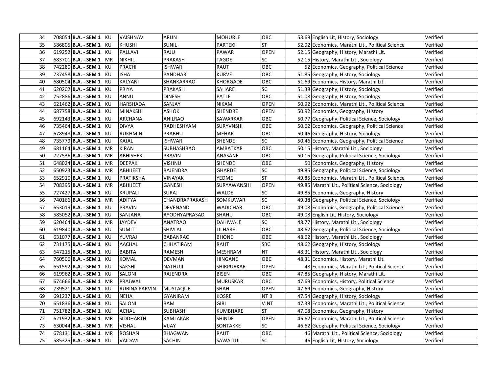| 34 | 708054 B.A. - SEM 1 KU        | <b>VAISHNAVI</b>     | <b>ARUN</b>     | <b>MOHURLE</b>  | OBC         | 53.69 English Lit, History, Sociology            | Verified |
|----|-------------------------------|----------------------|-----------------|-----------------|-------------|--------------------------------------------------|----------|
| 35 | 586805 B.A. - SEM 1 KU        | <b>KHUSHI</b>        | Sunil           | <b>PARTEKI</b>  | ST.         | 52.92 Economics, Marathi Lit., Political Science | Verified |
| 36 | 619252 B.A. - SEM 1 KU        | PALLAVI              | RAJU            | <b>PAWAR</b>    | <b>OPEN</b> | 52.15 Geography, History, Marathi Lit.           | Verified |
| 37 | 683701 <b>B.A. - SEM 1</b> MR | <b>NIKHIL</b>        | PRAKASH         | TAGDE           | <b>SC</b>   | 52.15 History, Marathi Lit., Sociology           | Verified |
| 38 | 742280 B.A. - SEM 1 KU        | PRACHI               | ISHWAR          | RAUT            | <b>OBC</b>  | 52 Economics, Geography, Political Science       | Verified |
| 39 | 737458 <b>B.A. - SEM 1 KU</b> | <b>ISHA</b>          | PANDHARI        | KURVE           | OBC         | 51.85 Geography, History, Sociology              | Verified |
| 40 | 680504 B.A. - SEM 1 KU        | KALYANI              | SHANKARRAO      | <b>KHORGADE</b> | OBC         | 51.69 Economics, History, Marathi Lit.           | Verified |
| 41 | 620202 B.A. - SEM 1 KU        | <b>PRIYA</b>         | PRAKASH         | SAHARE          | SC          | 51.38 Geography, History, Sociology              | Verified |
| 42 | 752886 B.A. - SEM 1 KU        | ANNU                 | DINESH          | PATLE           | OBC         | 51.08 Geography, History, Sociology              | Verified |
| 43 | 621462 B.A. - SEM 1 KU        | <b>HARSHADA</b>      | SANJAY          | <b>NIKAM</b>    | <b>OPEN</b> | 50.92 Economics, Marathi Lit., Political Science | Verified |
| 44 | 687758 B.A. - SEM 1 KU        | <b>MINAKSHI</b>      | <b>ASHOK</b>    | <b>SHENDRE</b>  | <b>OPEN</b> | 50.92 Economics, Geography, History              | Verified |
| 45 | 692143 B.A. - SEM 1 KU        | <b>ARCHANA</b>       | ANILRAO         | SAWARKAR        | OBC.        | 50.77 Geography, Political Science, Sociology    | Verified |
| 46 | 735464 B.A. - SEM 1 KU        | <b>DIVYA</b>         | RADHESHYAM      | SURYVNSHI       | OBC         | 50.62 Economics, Geography, Political Science    | Verified |
| 47 | 678948 B.A. - SEM 1 KU        | <b>RUKHMINI</b>      | PRABHU          | MEHAR           | ОВС         | 50.46 Geography, History, Sociology              | Verified |
| 48 | 735779 B.A. - SEM 1 KU        | <b>KAJAL</b>         | ISHWAR          | <b>SHENDE</b>   | <b>SC</b>   | 50.46 Economics, Geography, Political Science    | Verified |
| 49 | 681164 <b>B.A. - SEM 1</b> MR | <b>KIRAN</b>         | SUBHASHRAO      | AMBATKAR        | OBC         | 50.15 History, Marathi Lit., Sociology           | Verified |
| 50 | 727536 B.A. - SEM 1   MR      | <b>ABHISHEK</b>      | PRAVIN          | ANASANE         | OBC         | 50.15 Geography, Political Science, Sociology    | Verified |
| 51 | 648024 B.A. - SEM 1   MR      | <b>DEEPAK</b>        | VISHNU          | SHENDE          | OBC         | 50 Economics, Geography, History                 | Verified |
| 52 | 650923 B.A. - SEM 1 MR        | <b>ABHIJEET</b>      | RAJENDRA        | <b>GHARDE</b>   | SC          | 49.85 Geography, Political Science, Sociology    | Verified |
| 53 | 652910 B.A. - SEM 1 KU        | PRATIKSHA            | <b>VINAYAK</b>  | <b>YEDME</b>    | <b>ST</b>   | 49.85 Economics, Marathi Lit., Political Science | Verified |
| 54 | 708395 B.A. - SEM 1   MR      | ABHIJEET             | GANESH          | SURYAWANSHI     | <b>OPEN</b> | 49.85 Marathi Lit., Political Science, Sociology | Verified |
| 55 | 727427 B.A. - SEM 1 KU        | <b>KRUPALI</b>       | SURAJ           | <b>WALDE</b>    | SC          | 49.85 Economics, Geography, History              | Verified |
| 56 | 740166 B.A. - SEM 1 MR        | <b>ADITYA</b>        | CHANDRAPRAKASH  | SOMKUWAR        | <b>SC</b>   | 49.38 Geography, Political Science, Sociology    | Verified |
| 57 | 653019 B.A. - SEM 1 KU        | <b>PRAVIN</b>        | DEVENAND        | <b>WADICHAR</b> | OBC         | 49.08 Economics, Geography, Political Science    | Verified |
| 58 | 585052 B.A. - SEM 1 KU        | SANJANA              | AYODHYAPRASAD   | SHAHU           | OBC         | 49.08 English Lit, History, Sociology            | Verified |
| 59 | 620464 B.A. - SEM 1 MR        | <b>JAYDEV</b>        | ANATRAO         | DAHIWALE        | SC          | 48.77 History, Marathi Lit., Sociology           | Verified |
| 60 | 619840 <b>B.A. - SEM 1</b> KU | <b>SUMIT</b>         | SHIVLAL         | LILHARE         | OBC         | 48.62 Geography, Political Science, Sociology    | Verified |
| 61 | 631077 B.A. - SEM 1 KU        | YUVRAJ               | <b>BABANRAO</b> | <b>BHONE</b>    | OBC         | 48.62 History, Marathi Lit., Sociology           | Verified |
| 62 | 731175 B.A. - SEM 1 KU        | <b>AACHAL</b>        | CHHATIRAM       | <b>RAUT</b>     | <b>SBC</b>  | 48.62 Geography, History, Sociology              | Verified |
| 63 | 647215 B.A. - SEM 1 KU        | <b>BABITA</b>        | RAMESH          | <b>MESHRAM</b>  | NT          | 48.31 History, Marathi Lit., Sociology           | Verified |
| 64 | 760506 B.A. - SEM 1 KU        | <b>KOMAL</b>         | DEVMAN          | HINGANE         | OBC         | 48.31 Economics, History, Marathi Lit.           | Verified |
| 65 | 651592 B.A. - SEM 1 KU        | <b>SAKSHI</b>        | NATHUJI         | SHIRPURKAR      | <b>OPEN</b> | 48 Economics, Marathi Lit., Political Science    | Verified |
| 66 | 619962 B.A. - SEM 1 KU        | SALONI               | RAJENDRA        | <b>BISEN</b>    | OBC         | 47.85 Geography, History, Marathi Lit.           | Verified |
| 67 | 674666 <b>B.A. - SEM 1</b> MR | PRAJWAL              |                 | <b>MURUSKAR</b> | OBC         | 47.69 Economics, History, Political Science      | Verified |
| 68 | 739521 B.A. - SEM 1 KU        | <b>RUBINA PARVIN</b> | <b>MUSTAQUE</b> | SHAH            | <b>OPEN</b> | 47.69 Economics, Geography, History              | Verified |
| 69 | 691237 B.A. - SEM 1 KU        | <b>NEHA</b>          | GYANIRAM        | KOSRE           | NT B        | 47.54 Geography, History, Sociology              | Verified |
| 70 | 651836 B.A. - SEM 1 KU        | <b>SALONI</b>        | <b>RAM</b>      | <b>GIRI</b>     | <b>TINV</b> | 47.38 Economics, Marathi Lit., Political Science | Verified |
| 71 | 751782 B.A. - SEM 1 KU        | <b>ACHAL</b>         | <b>SUBHASH</b>  | <b>KUMBHARE</b> | <b>ST</b>   | 47.08 Economics, Geography, History              | Verified |
| 72 | 621932 B.A. - SEM 1   MR      | <b>SIDDHARTH</b>     | KAMLAKAR        | SHINDE          | <b>OPEN</b> | 46.62 Economics, Marathi Lit., Political Science | Verified |
| 73 | 630044 B.A. - SEM 1   MR      | <b>VISHAL</b>        | VIJAY           | SONTAKKE        | SC          | 46.62 Geography, Political Science, Sociology    | Verified |
| 74 | 678131 B.A. - SEM 1 MR        | <b>ROSHAN</b>        | <b>BHAGWAN</b>  | RAUT            | OBC         | 46 Marathi Lit., Political Science, Sociology    | Verified |
| 75 | 585325 B.A. - SEM 1 KU        | <b>VAIDAVI</b>       | SACHIN          | SAWAITUL        | SC          | 46 English Lit, History, Sociology               | Verified |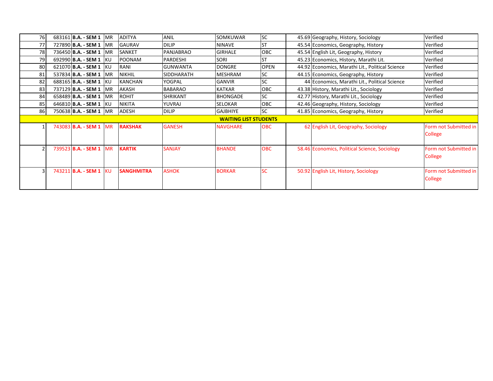| 76 | 683161 <b>B.A. - SEM 1   MR</b> | <b>ADITYA</b>     | <b>ANIL</b>     | <b>SOMKUWAR</b>              | <b>SC</b>   | 45.69 Geography, History, Sociology              | Verified                         |
|----|---------------------------------|-------------------|-----------------|------------------------------|-------------|--------------------------------------------------|----------------------------------|
| 77 | 727890 B.A. - SEM 1 MR          | <b>GAURAV</b>     | <b>DILIP</b>    | <b>NINAVE</b>                | <b>ST</b>   | 45.54 Economics, Geography, History              | Verified                         |
| 78 | 736450 <b>B.A. - SEM 1   MR</b> | <b>SANKET</b>     | PANJABRAO       | <b>GIRHALE</b>               | OBC         | 45.54 English Lit, Geography, History            | Verified                         |
| 79 | 692990 B.A. - SEM 1 KU          | <b>POONAM</b>     | PARDESHI        | <b>SORI</b>                  | <b>ST</b>   | 45.23 Economics, History, Marathi Lit.           | Verified                         |
| 80 | 621070 B.A. - SEM 1 KU          | RANI              | <b>GUNWANTA</b> | <b>DONGRE</b>                | <b>OPEN</b> | 44.92 Economics, Marathi Lit., Political Science | Verified                         |
| 81 | 537834 <b>B.A. - SEM 1 MR</b>   | <b>NIKHIL</b>     | SIDDHARATH      | <b>MESHRAM</b>               | <b>SC</b>   | 44.15 Economics, Geography, History              | Verified                         |
| 82 | 688165 B.A. - SEM 1 KU          | <b>KANCHAN</b>    | YOGPAL          | <b>GANVIR</b>                | SC          | 44 Economics, Marathi Lit., Political Science    | Verified                         |
| 83 | 737129 B.A. - SEM 1 MR          | AKASH             | <b>BABARAO</b>  | <b>KATKAR</b>                | OBC         | 43.38 History, Marathi Lit., Sociology           | Verified                         |
| 84 | 658489 <b>B.A. - SEM 1   MR</b> | <b>ROHIT</b>      | <b>SHRIKANT</b> | <b>BHONGADE</b>              | <b>SC</b>   | 42.77 History, Marathi Lit., Sociology           | Verified                         |
| 85 | 646810 B.A. - SEM 1 KU          | <b>NIKITA</b>     | YUVRAJ          | <b>SELOKAR</b>               | <b>OBC</b>  | 42.46 Geography, History, Sociology              | Verified                         |
| 86 | 750638 <b>B.A. - SEM 1   MR</b> | ADESH             | <b>DILIP</b>    | <b>GAJBHIYE</b>              | <b>SC</b>   | 41.85 Economics, Geography, History              | Verified                         |
|    |                                 |                   |                 | <b>WAITING LIST STUDENTS</b> |             |                                                  |                                  |
|    | 743083 <b>B.A. - SEM 1</b> MR   | <b>RAKSHAK</b>    | <b>GANESH</b>   | <b>NAVGHARE</b>              | <b>OBC</b>  | 62 English Lit, Geography, Sociology             | Form not Submitted in<br>College |
|    | 739523 <b>B.A. - SEM 1 MR</b>   | <b>KARTIK</b>     | <b>SANJAY</b>   | <b>BHANDE</b>                | <b>OBC</b>  | 58.46 Economics, Political Science, Sociology    | Form not Submitted in<br>College |
| 3  | 743211 B.A. - SEM 1 KU          | <b>SANGHMITRA</b> | <b>ASHOK</b>    | <b>BORKAR</b>                | <b>SC</b>   | 50.92 English Lit, History, Sociology            | Form not Submitted in<br>College |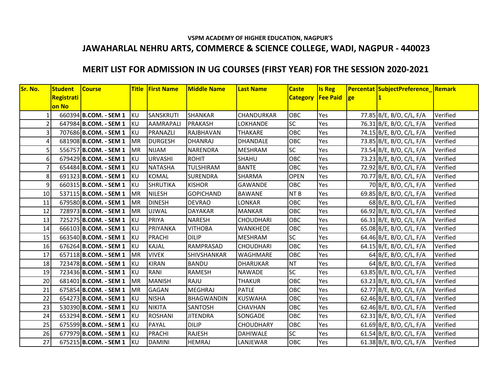#### **VSPM ACADEMY OF HIGHER EDUCATION, NAGPUR'S JAWAHARLAL NEHRU ARTS, COMMERCE & SCIENCE COLLEGE, WADI, NAGPUR - 440023**

## **MERIT LIST FOR ADMISSION IN UG COURSES (FIRST YEAR) FOR THE SESSION 2020-2021**

| Sr. No.        | <b>Student</b> | <b>Course</b>         |            | <b>Title First Name</b> | <b>Middle Name</b> | <b>Last Name</b>  | <b>Caste</b>             | <b>Is Reg</b> |              | Percentat SubjectPreference Remark |          |
|----------------|----------------|-----------------------|------------|-------------------------|--------------------|-------------------|--------------------------|---------------|--------------|------------------------------------|----------|
|                | Registrati     |                       |            |                         |                    |                   | <b>Category Fee Paid</b> |               | $ {\rm ge} $ |                                    |          |
|                | on No          |                       |            |                         |                    |                   |                          |               |              |                                    |          |
| 1              |                | 660394 B.COM. - SEM 1 | KU         | SANSKRUTI               | <b>SHANKAR</b>     | <b>CHANDURKAR</b> | <b>OBC</b>               | Yes           |              | 77.85 B/E, B/O, C/L, F/A           | Verified |
| $\overline{2}$ |                | 647984 B.COM. - SEM 1 | KU         | <b>AAMRAPALI</b>        | <b>PRAKASH</b>     | <b>LOKHANDE</b>   | <b>SC</b>                | Yes           |              | 76.31 B/E, B/O, C/L, F/A           | Verified |
| 3              |                | 707686 B.COM. - SEM 1 | KU         | PRANAZLI                | <b>RAJBHAVAN</b>   | <b>THAKARE</b>    | OBC                      | Yes           |              | 74.15 B/E, B/O, C/L, F/A           | Verified |
| 4              |                | 681908 B.COM. - SEM 1 | <b>MR</b>  | <b>DURGESH</b>          | <b>DHANRAJ</b>     | <b>DHANDALE</b>   | OBC                      | Yes           |              | 73.85 B/E, B/O, C/L, F/A           | Verified |
| 5              |                | 556757 B.COM. - SEM 1 | <b>IMR</b> | <b>NIJAM</b>            | <b>NARENDRA</b>    | <b>MESHRAM</b>    | <b>SC</b>                | Yes           |              | 73.54 B/E, B/O, C/L, F/A           | Verified |
| 6              |                | 679429 B.COM. - SEM 1 | KU         | <b>URVASHI</b>          | <b>ROHIT</b>       | SHAHU             | OBC                      | Yes           |              | 73.23 B/E, B/O, C/L, F/A           | Verified |
| 7              |                | 654484 B.COM. - SEM 1 | KU         | <b>NATASHA</b>          | <b>TULSHIRAM</b>   | <b>BANTE</b>      | OBC                      | Yes           |              | 72.92 B/E, B/O, C/L, F/A           | Verified |
| 8              |                | 691323 B.COM. - SEM 1 | KU         | <b>KOMAL</b>            | <b>SURENDRA</b>    | <b>SHARMA</b>     | <b>OPEN</b>              | Yes           |              | 70.77 B/E, B/O, C/L, F/A           | Verified |
| 9              |                | 660315 B.COM. - SEM 1 | KU         | <b>SHRUTIKA</b>         | <b>KISHOR</b>      | <b>GAWANDE</b>    | <b>OBC</b>               | Yes           |              | 70 B/E, B/O, C/L, F/A              | Verified |
| 10             |                | 537115 B.COM. - SEM 1 | <b>MR</b>  | <b>NILESH</b>           | <b>GOPICHAND</b>   | <b>BAWANE</b>     | NT <sub>B</sub>          | Yes           |              | 69.85 B/E, B/O, C/L, F/A           | Verified |
| 11             |                | 679580 B.COM. - SEM 1 | <b>MR</b>  | <b>DINESH</b>           | <b>DEVRAO</b>      | <b>LONKAR</b>     | <b>OBC</b>               | Yes           |              | 68 B/E, B/O, C/L, F/A              | Verified |
| 12             |                | 728973 B.COM. - SEM 1 | <b>MR</b>  | <b>UJWAL</b>            | <b>DAYAKAR</b>     | <b>MANKAR</b>     | OBC                      | Yes           |              | 66.92 B/E, B/O, C/L, F/A           | Verified |
| 13             |                | 725275 B.COM. - SEM 1 | <b>IKU</b> | <b>PRIYA</b>            | <b>NARESH</b>      | <b>CHOUDHARI</b>  | <b>OBC</b>               | Yes           |              | 66.31 B/E, B/O, C/L, F/A           | Verified |
| 14             |                | 666103 B.COM. - SEM 1 | KU         | PRIYANKA                | <b>VITHOBA</b>     | <b>WANKHEDE</b>   | OBC                      | Yes           |              | 65.08 B/E, B/O, C/L, F/A           | Verified |
| 15             |                | 663540 B.COM. - SEM 1 | KU         | <b>PRACHI</b>           | <b>DILIP</b>       | <b>MESHRAM</b>    | <b>SC</b>                | Yes           |              | 64.46 B/E, B/O, C/L, F/A           | Verified |
| 16             |                | 676264 B.COM. - SEM 1 | KU         | <b>KAJAL</b>            | RAMPRASAD          | <b>CHOUDHARI</b>  | <b>OBC</b>               | Yes           |              | 64.15 B/E, B/O, C/L, F/A           | Verified |
| 17             |                | 657118 B.COM. - SEM 1 | <b>MR</b>  | <b>VIVEK</b>            | SHIVSHANKAR        | <b>WAGHMARE</b>   | <b>OBC</b>               | Yes           |              | 64 B/E, B/O, C/L, F/A              | Verified |
| 18             |                | 723478 B.COM. - SEM 1 | KU         | <b>KIRAN</b>            | <b>BANDU</b>       | <b>DHARUKAR</b>   | <b>NT</b>                | Yes           |              | 64 B/E, B/O, C/L, F/A              | Verified |
| 19             |                | 723436 B.COM. - SEM 1 | KU         | RANI                    | RAMESH             | <b>NAWADE</b>     | <b>SC</b>                | Yes           |              | 63.85 B/E, B/O, C/L, F/A           | Verified |
| 20             |                | 681401 B.COM. - SEM 1 | MR         | <b>MANISH</b>           | RAJU               | <b>THAKUR</b>     | OBC                      | Yes           |              | 63.23 B/E, B/O, C/L, F/A           | Verified |
| 21             |                | 675854 B.COM. - SEM 1 | <b>MR</b>  | <b>GAGAN</b>            | <b>MEGHRAJ</b>     | <b>PATLE</b>      | OBC                      | Yes           |              | 62.77 B/E, B/O, C/L, F/A           | Verified |
| 22             |                | 654273 B.COM. - SEM 1 | KU         | <b>NISHA</b>            | <b>BHAGWANDIN</b>  | <b>KUSWAHA</b>    | OBC                      | Yes           |              | 62.46 B/E, B/O, C/L, F/A           | Verified |
| 23             |                | 530390 B.COM. - SEM 1 | KU         | <b>NIKITA</b>           | <b>SANTOSH</b>     | <b>CHAVHAN</b>    | OBC                      | Yes           |              | 62.46 B/E, B/O, C/L, F/A           | Verified |
| 24             |                | 653294 B.COM. - SEM 1 | KU         | <b>ROSHANI</b>          | <b>JITENDRA</b>    | SONGADE           | <b>OBC</b>               | Yes           |              | 62.31 B/E, B/O, C/L, F/A           | Verified |
| 25             |                | 675599 B.COM. - SEM 1 | KU         | <b>PAYAL</b>            | <b>DILIP</b>       | <b>CHOUDHARY</b>  | OBC                      | Yes           |              | 61.69 B/E, B/O, C/L, F/A           | Verified |
| 26             |                | 677979 B.COM. - SEM 1 | KU         | PRACHI                  | <b>RAJESH</b>      | <b>DAHIWALE</b>   | SC                       | Yes           |              | 61.54 B/E, B/O, C/L, F/A           | Verified |
| 27             |                | 675215 B.COM. - SEM 1 | <b>KU</b>  | <b>DAMINI</b>           | <b>HEMRAJ</b>      | LANJEWAR          | <b>OBC</b>               | Yes           |              | 61.38 B/E, B/O, C/L, F/A           | Verified |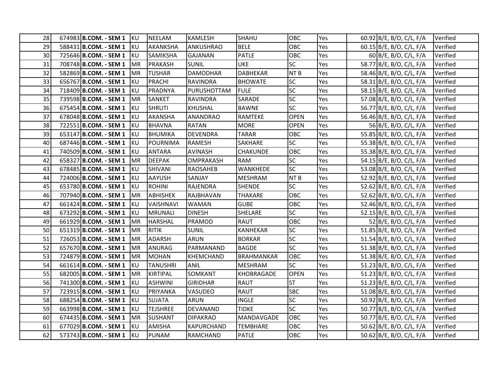| 28I  | $674983$ <b>B.COM.</b> - <b>SEM 1</b> KU |            | <b>NEELAM</b>   | <b>KAMLESH</b>    | <b>SHAHU</b>      | <b>OBC</b>      | Yes | 60.92 B/E, B/O, C/L, F/A | Verified |
|------|------------------------------------------|------------|-----------------|-------------------|-------------------|-----------------|-----|--------------------------|----------|
| 29   | 588431 <b>B.COM. - SEM 1</b> KU          |            | AKANKSHA        | <b>ANKUSHRAO</b>  | <b>BELE</b>       | OBC             | Yes | 60.15 B/E, B/O, C/L, F/A | Verified |
| 30   | 725646 B.COM. - SEM 1                    | KU.        | SAMIKSHA        | <b>GAJANAN</b>    | <b>PATLE</b>      | OBC             | Yes | 60 B/E, B/O, C/L, F/A    | Verified |
| 31   | 708748 B.COM. - SEM 1                    | MR         | PRAKASH         | <b>SUNIL</b>      | <b>UKE</b>        | <b>SC</b>       | Yes | 58.77 B/E, B/O, C/L, F/A | Verified |
| 32   | 582869 B.COM. - SEM 1                    | IMR.       | <b>TUSHAR</b>   | <b>DAMODHAR</b>   | <b>DABHEKAR</b>   | NT <sub>B</sub> | Yes | 58.46 B/E, B/O, C/L, F/A | Verified |
| 33   | 656767 B.COM. - SEM 1                    | IKU.       | <b>PRACHI</b>   | <b>RAVINDRA</b>   | <b>BHOWATE</b>    | <b>SC</b>       | Yes | 58.31 B/E, B/O, C/L, F/A | Verified |
| 34   | 718409 B.COM. - SEM 1                    | KU         | PRADNYA         | PURUSHOTTAM       | IFULE             | <b>SC</b>       | Yes | 58.15 B/E, B/O, C/L, F/A | Verified |
| 35   | 739598 B.COM. - SEM 1                    | MR         | SANKET          | <b>RAVINDRA</b>   | SARADE            | SC              | Yes | 57.08 B/E, B/O, C/L, F/A | Verified |
| 36   | 675454 <b>B.COM.</b> - SEM 1             | KU         | <b>SHRUTI</b>   | <b>KHUSHAL</b>    | <b>BAWNE</b>      | <b>SC</b>       | Yes | 56.77 B/E, B/O, C/L, F/A | Verified |
| 37   | 678048 B.COM. - SEM 1                    | KU         | <b>AKANSHA</b>  | <b>ANANDRAO</b>   | <b>RAMTEKE</b>    | <b>OPEN</b>     | Yes | 56.46 B/E, B/O, C/L, F/A | Verified |
| 38   | 722551 B.COM. - SEM 1                    | <b>KU</b>  | <b>BHAVNA</b>   | <b>RATAN</b>      | <b>MORE</b>       | <b>OPEN</b>     | Yes | 56 B/E, B/O, C/L, F/A    | Verified |
| 39 I | 653147 B.COM. - SEM 1                    | IKU.       | <b>BHUMIKA</b>  | <b>DEVENDRA</b>   | <b>TARAR</b>      | <b>OBC</b>      | Yes | 55.85 B/E, B/O, C/L, F/A | Verified |
| 40   | 687446 <b>B.COM. - SEM 1</b> KU          |            | <b>POURNIMA</b> | <b>RAMESH</b>     | SAKHARE           | <b>SC</b>       | Yes | 55.38 B/E, B/O, C/L, F/A | Verified |
| 41   | 740509 B.COM. - SEM 1                    | <b>IKU</b> | <b>ANTARA</b>   | <b>AVINASH</b>    | <b>CHAKUNDE</b>   | OBC             | Yes | 55.38 B/E, B/O, C/L, F/A | Verified |
| 42   | 658327 B.COM. - SEM 1                    | IMR.       | <b>DEEPAK</b>   | <b>OMPRAKASH</b>  | RAM               | SC              | Yes | 54.15 B/E, B/O, C/L, F/A | Verified |
| 43   | 678485 B.COM. - SEM 1                    | IKU.       | SHIVANI         | <b>RAOSAHEB</b>   | WANKHEDE          | <b>SC</b>       | Yes | 53.08 B/E, B/O, C/L, F/A | Verified |
| 44   | 724006 B.COM. - SEM 1                    | KU         | <b>AAYUSH</b>   | SANJAY            | <b>MESHRAM</b>    | NT <sub>B</sub> | Yes | 52.92 B/E, B/O, C/L, F/A | Verified |
| 45   | 653780 B.COM. - SEM 1                    | KU.        | <b>ROHINI</b>   | <b>RAJENDRA</b>   | <b>SHENDE</b>     | <b>SC</b>       | Yes | 52.62 B/E, B/O, C/L, F/A | Verified |
| 46   | 707940 B.COM. - SEM 1                    | <b>MR</b>  | <b>ABHISHEK</b> | RAJBHAVAN         | <b>THAKARE</b>    | OBC             | Yes | 52.62 B/E, B/O, C/L, F/A | Verified |
| 47   | 661424 B.COM. - SEM 1                    | IKU.       | VAISHNAVI       | <b>WAMAN</b>      | <b>GUBE</b>       | OBC             | Yes | 52.46 B/E, B/O, C/L, F/A | Verified |
| 48   | 673292 B.COM. - SEM 1                    | <b>KU</b>  | <b>MRUNALI</b>  | <b>DINESH</b>     | SHELARE           | SC              | Yes | 52.15 B/E, B/O, C/L, F/A | Verified |
| 49   | 661929 B.COM. - SEM 1                    | IMR.       | <b>HARSHAL</b>  | <b>PRAMOD</b>     | <b>RAUT</b>       | OBC             | Yes | 52 B/E, B/O, C/L, F/A    | Verified |
| 50   | 651319 B.COM. - SEM 1                    | MR.        | <b>RITIK</b>    | <b>SUNIL</b>      | KANHEKAR          | SC              | Yes | 51.85 B/E, B/O, C/L, F/A | Verified |
| 51   | 726053 B.COM. - SEM 1                    | MR         | ADARSH          | <b>ARUN</b>       | <b>BORKAR</b>     | SC              | Yes | 51.54 B/E, B/O, C/L, F/A | Verified |
| 52   | 657670 B.COM. - SEM 1                    | <b>MR</b>  | ANURAG          | PARMANAND         | <b>BAGDE</b>      | <b>SC</b>       | Yes | 51.38 B/E, B/O, C/L, F/A | Verified |
| 53   | 724879 B.COM. - SEM 1                    | MR.        | <b>MOHAN</b>    | <b>KHEMCHAND</b>  | <b>BRAHMANKAR</b> | OBC             | Yes | 51.38 B/E, B/O, C/L, F/A | Verified |
| 54   | 661614 B.COM. - SEM 1                    | KU         | <b>TANUSHRI</b> | <b>ANIL</b>       | <b>MESHRAM</b>    | <b>SC</b>       | Yes | 51.23 B/E, B/O, C/L, F/A | Verified |
| 55   | 682005 B.COM. - SEM 1                    | <b>IMR</b> | <b>KIRTIPAL</b> | SOMKANT           | KHOBRAGADE        | <b>OPEN</b>     | Yes | 51.23 B/E, B/O, C/L, F/A | Verified |
| 56   | 741300 B.COM. - SEM 1 KU                 |            | <b>ASHWINI</b>  | <b>GIRIDHAR</b>   | <b>RAUT</b>       | <b>ST</b>       | Yes | 51.23 B/E, B/O, C/L, F/A | Verified |
| 57   | 723915 B.COM. - SEM 1                    | <b>KU</b>  | PRIYANKA        | <b>VASUDEO</b>    | <b>RAUT</b>       | <b>SBC</b>      | Yes | 51.08 B/E, B/O, C/L, F/A | Verified |
| 58   | 688254 B.COM. - SEM 1                    | KU         | <b>SUJATA</b>   | <b>ARUN</b>       | <b>INGLE</b>      | <b>SC</b>       | Yes | 50.92 B/E, B/O, C/L, F/A | Verified |
| 59   | 663998 B.COM. - SEM 1                    | KU         | <b>TEJSHREE</b> | <b>DEVANAND</b>   | <b>TIDKE</b>      | <b>SC</b>       | Yes | 50.77 B/E, B/O, C/L, F/A | Verified |
| 60   | 674435 B.COM. - SEM 1                    | MR.        | <b>SUSHANT</b>  | <b>DIPAKRAO</b>   | MANDAVGADE        | OBC             | Yes | 50.77 B/E, B/O, C/L, F/A | Verified |
| 61   | 677029 B.COM. - SEM 1                    | KU         | AMISHA          | <b>KAPURCHAND</b> | <b>TEMBHARE</b>   | OBC             | Yes | 50.62 B/E, B/O, C/L, F/A | Verified |
| 62   | 573743 B.COM. - SEM 1                    | <b>KU</b>  | <b>PUNAM</b>    | <b>RAMCHAND</b>   | <b>PATLE</b>      | OBC             | Yes | 50.62 B/E, B/O, C/L, F/A | Verified |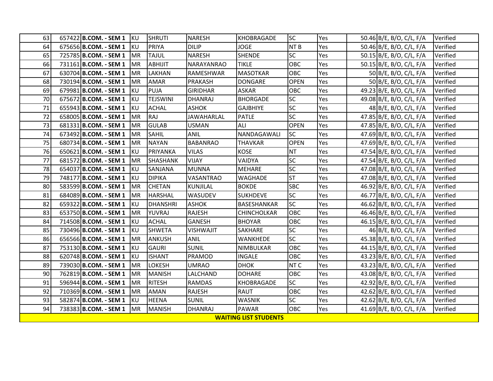| 63        | 657422 B.COM. - SEM 1 KU |            | <b>SHRUTI</b>   | <b>NARESH</b>     | <b>KHOBRAGADE</b>            | <b>SC</b>       | Yes        | 50.46 B/E, B/O, C/L, F/A | Verified |
|-----------|--------------------------|------------|-----------------|-------------------|------------------------------|-----------------|------------|--------------------------|----------|
| <b>64</b> | 675656 B.COM. - SEM 1    | <b>KU</b>  | <b>PRIYA</b>    | <b>DILIP</b>      | <b>JOGE</b>                  | NT <sub>B</sub> | Yes        | 50.46 B/E, B/O, C/L, F/A | Verified |
| <b>65</b> | 725785 B.COM. - SEM 1    | <b>MR</b>  | <b>TAJUL</b>    | <b>NARESH</b>     | <b>SHENDE</b>                | <b>SC</b>       | Yes        | 50.15 B/E, B/O, C/L, F/A | Verified |
| 66        | 731161 B.COM. - SEM 1    | <b>MR</b>  | ABHIJIT         | <b>NARAYANRAO</b> | <b>TIKLE</b>                 | OBC             | Yes        | 50.15 B/E, B/O, C/L, F/A | Verified |
| 67        | 630704 B.COM. - SEM 1    | <b>IMR</b> | <b>LAKHAN</b>   | RAMESHWAR         | <b>MASOTKAR</b>              | <b>OBC</b>      | <b>Yes</b> | 50 B/E, B/O, C/L, F/A    | Verified |
| 68I       | 730194 B.COM. - SEM 1    | <b>MR</b>  | <b>AMAR</b>     | <b>PRAKASH</b>    | <b>DONGARE</b>               | <b>OPEN</b>     | Yes        | 50 B/E, B/O, C/L, F/A    | Verified |
| 69        | 679981 B.COM. - SEM 1    | <b>KU</b>  | PUJA            | <b>GIRIDHAR</b>   | <b>ASKAR</b>                 | OBC             | Yes        | 49.23 B/E, B/O, C/L, F/A | Verified |
| 70        | 675672 B.COM. - SEM 1    | <b>IKU</b> | <b>TEJSWINI</b> | DHANRAJ           | <b>BHORGADE</b>              | <b>SC</b>       | Yes        | 49.08 B/E, B/O, C/L, F/A | Verified |
| 71        | 655943 B.COM. - SEM 1    | KU         | <b>ACHAL</b>    | <b>ASHOK</b>      | <b>GAJBHIYE</b>              | <b>SC</b>       | Yes        | 48 B/E, B/O, C/L, F/A    | Verified |
| 72        | 658005 B.COM. - SEM 1    | <b>IMR</b> | RAJ             | <b>JAWAHARLAL</b> | <b>PATLE</b>                 | <b>SC</b>       | <b>Yes</b> | 47.85 B/E, B/O, C/L, F/A | Verified |
| 73        | 681331 B.COM. - SEM 1    | <b>MR</b>  | <b>GULAB</b>    | <b>USMAN</b>      | ALI                          | <b>OPEN</b>     | Yes        | 47.85 B/E, B/O, C/L, F/A | Verified |
| 74        | 673492 B.COM. - SEM 1    | IMR.       | <b>SAHIL</b>    | ANIL              | NANDAGAWALI                  | <b>SC</b>       | Yes        | 47.69 B/E, B/O, C/L, F/A | Verified |
| 75        | 680734 B.COM. - SEM 1    | <b>MR</b>  | <b>NAYAN</b>    | <b>BABANRAO</b>   | <b>THAVKAR</b>               | <b>OPEN</b>     | Yes        | 47.69 B/E, B/O, C/L, F/A | Verified |
| 76        | 650621 B.COM. - SEM 1    | KU         | PRIYANKA        | <b>VILAS</b>      | <b>KOSE</b>                  | <b>NT</b>       | Yes        | 47.54 B/E, B/O, C/L, F/A | Verified |
| 77        | 681572 B.COM. - SEM 1    | <b>MR</b>  | SHASHANK        | <b>VIJAY</b>      | VAIDYA                       | <b>SC</b>       | Yes        | 47.54 B/E, B/O, C/L, F/A | Verified |
| <b>78</b> | 654037 B.COM. - SEM 1    | IKU.       | SANJANA         | <b>MUNNA</b>      | <b>MEHARE</b>                | <b>SC</b>       | Yes        | 47.08 B/E, B/O, C/L, F/A | Verified |
| 79        | 748177 B.COM. - SEM 1    | KU         | <b>DIPIKA</b>   | <b>VASANTRAO</b>  | <b>WAGHADE</b>               | <b>ST</b>       | Yes        | 47.08 B/E, B/O, C/L, F/A | Verified |
| 80        | 583599 B.COM. - SEM 1    | <b>MR</b>  | <b>CHETAN</b>   | <b>KUNJILAL</b>   | <b>BOKDE</b>                 | <b>SBC</b>      | Yes        | 46.92 B/E, B/O, C/L, F/A | Verified |
| 81        | 684089 B.COM. - SEM 1    | <b>MR</b>  | <b>HARSHAL</b>  | WASUDEV           | <b>SUKHDEVE</b>              | <b>SC</b>       | Yes        | 46.77 B/E, B/O, C/L, F/A | Verified |
| 82        | 659322 B.COM. - SEM 1    | KU         | <b>DHANSHRI</b> | <b>ASHOK</b>      | BASESHANKAR                  | <b>SC</b>       | Yes        | 46.62 B/E, B/O, C/L, F/A | Verified |
| 83I       | 653750 B.COM. - SEM 1    | <b>IMR</b> | YUVRAJ          | <b>RAJESH</b>     | CHINCHOLKAR                  | OBC             | Yes        | 46.46 B/E, B/O, C/L, F/A | Verified |
| 84        | 714508 B.COM. - SEM 1    | <b>IKU</b> | <b>ACHAL</b>    | <b>GANESH</b>     | <b>BHOYAR</b>                | OBC             | Yes        | 46.15 B/E, B/O, C/L, F/A | Verified |
| 85        | 730496 B.COM. - SEM 1    | KU         | <b>SHWETA</b>   | <b>VISHWAJIT</b>  | SAKHARE                      | <b>SC</b>       | Yes        | 46 B/E, B/O, C/L, F/A    | Verified |
| 86I       | 656566 B.COM. - SEM 1    | <b>MR</b>  | ANKUSH          | ANIL              | WANKHEDE                     | <b>SC</b>       | Yes        | 45.38 B/E, B/O, C/L, F/A | Verified |
| 87        | 753130 B.COM. - SEM 1    | <b>KU</b>  | <b>GAURI</b>    | <b>SUNIL</b>      | NIMBULKAR                    | OBC             | Yes        | 44.15 B/E, B/O, C/L, F/A | Verified |
| 88        | 620748 B.COM. - SEM 1    | KU         | <b>ISHANT</b>   | <b>PRAMOD</b>     | <b>INGALE</b>                | OBC             | Yes        | 43.23 B/E, B/O, C/L, F/A | Verified |
| 89        | 739030 B.COM. - SEM 1    | <b>IMR</b> | <b>LOKESH</b>   | <b>UMRAO</b>      | <b>DHOK</b>                  | NT <sub>C</sub> | Yes        | 43.23 B/E, B/O, C/L, F/A | Verified |
| 90        | 762819 B.COM. - SEM 1    | <b>MR</b>  | <b>MANISH</b>   | LALCHAND          | <b>DOHARE</b>                | OBC             | Yes        | 43.08 B/E, B/O, C/L, F/A | Verified |
| 91        | 596944 B.COM. - SEM 1    | IMR.       | <b>RITESH</b>   | <b>RAMDAS</b>     | <b>KHOBRAGADE</b>            | <b>SC</b>       | Yes        | 42.92 B/E, B/O, C/L, F/A | Verified |
| 92        | 710369 B.COM. - SEM 1    | <b>MR</b>  | <b>AMAN</b>     | <b>RAJESH</b>     | RAUT                         | OBC             | Yes        | 42.62 B/E, B/O, C/L, F/A | Verified |
| 93        | 582874 B.COM. - SEM 1    | KU         | <b>HEENA</b>    | <b>SUNIL</b>      | <b>WASNIK</b>                | <b>SC</b>       | Yes        | 42.62 B/E, B/O, C/L, F/A | Verified |
| 94        | 738383 B.COM. - SEM 1    | <b>MR</b>  | <b>MANISH</b>   | <b>DHANRAJ</b>    | PAWAR                        | OBC             | Yes        | 41.69 B/E, B/O, C/L, F/A | Verified |
|           |                          |            |                 |                   | <b>WAITING LIST STUDENTS</b> |                 |            |                          |          |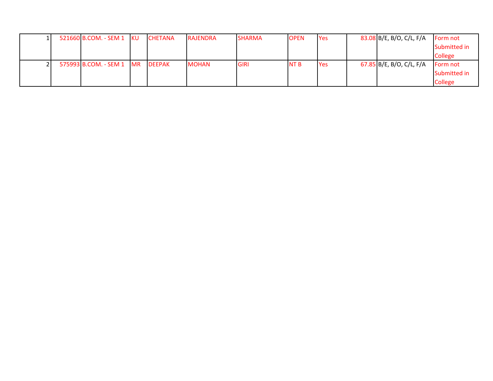|  | 521660 B.COM. - SEM 1 KU | <b>CHETANA</b> | <b>RAJENDRA</b> | <b>SHARMA</b> | <b>IOPEN</b> | <b>PYes</b> | 83.08 B/E, B/O, C/L, F/A | Form not       |
|--|--------------------------|----------------|-----------------|---------------|--------------|-------------|--------------------------|----------------|
|  |                          |                |                 |               |              |             |                          | Submitted in   |
|  |                          |                |                 |               |              |             |                          | <b>College</b> |
|  | 575993 B.COM. - SEM 1 MR | <b>DEEPAK</b>  | <b>MOHAN</b>    | <b>GIRI</b>   | <b>NTB</b>   | <b>Yes</b>  | 67.85 B/E, B/O, C/L, F/A | Form not       |
|  |                          |                |                 |               |              |             |                          | Submitted in   |
|  |                          |                |                 |               |              |             |                          | <b>College</b> |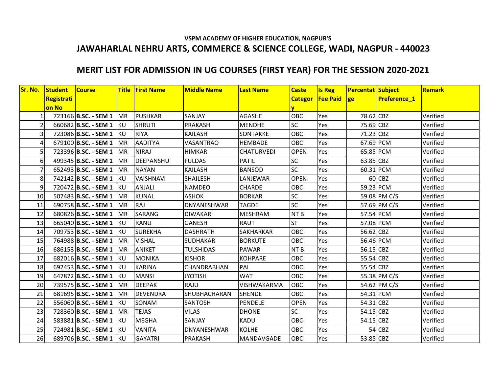#### **VSPM ACADEMY OF HIGHER EDUCATION, NAGPUR'S JAWAHARLAL NEHRU ARTS, COMMERCE & SCIENCE COLLEGE, WADI, NAGPUR - 440023**

## **MERIT LIST FOR ADMISSION IN UG COURSES (FIRST YEAR) FOR THE SESSION 2020-2021**

| Sr. No. | <b>Student</b> | <b>Course</b>             |    | <b>Title First Name</b> | <b>Middle Name</b> | <b>Last Name</b>  | <b>Caste</b>    | <b>Is Reg</b>           | Percentat Subject |                     | Remark   |
|---------|----------------|---------------------------|----|-------------------------|--------------------|-------------------|-----------------|-------------------------|-------------------|---------------------|----------|
|         | Registrati     |                           |    |                         |                    |                   |                 | Categor   Fee Paid   ge |                   | <b>Preference_1</b> |          |
|         | on No          |                           |    |                         |                    |                   | v               |                         |                   |                     |          |
|         |                | 723166 B.SC. - SEM 1   MR |    | <b>PUSHKAR</b>          | SANJAY             | <b>AGASHE</b>     | OBC             | Yes                     | 78.62 CBZ         |                     | Verified |
|         |                | 660682 B.SC. - SEM 1 KU   |    | <b>SHRUTI</b>           | <b>PRAKASH</b>     | <b>MENDHE</b>     | <b>SC</b>       | Yes                     | 75.69 CBZ         |                     | Verified |
|         |                | 723086 B.SC. - SEM 1 KU   |    | <b>RIYA</b>             | KAILASH            | SONTAKKE          | OBC             | Yes                     | 71.23 CBZ         |                     | Verified |
|         |                | 679100 B.SC. - SEM 1   MR |    | <b>AADITYA</b>          | <b>VASANTRAO</b>   | <b>HEMBADE</b>    | <b>OBC</b>      | Yes                     | 67.69 PCM         |                     | Verified |
|         |                | 723396 B.SC. - SEM 1   MR |    | <b>NIRAJ</b>            | HIMKAR             | <b>CHATURVEDI</b> | <b>OPEN</b>     | Yes                     | 65.85 PCM         |                     | Verified |
| 6       |                | 499345 B.SC. - SEM 1      | MR | DEEPANSHU               | <b>FULDAS</b>      | <b>PATIL</b>      | <b>SC</b>       | Yes                     | 63.85 CBZ         |                     | Verified |
|         |                | 652493 B.SC. - SEM 1   MR |    | <b>NAYAN</b>            | KAILASH            | <b>BANSOD</b>     | <b>SC</b>       | Yes                     | 60.31 PCM         |                     | Verified |
| 8       |                | 742142 B.SC. - SEM 1 KU   |    | <b>VAISHNAVI</b>        | <b>SHAILESH</b>    | LANJEWAR          | <b>OPEN</b>     | Yes                     |                   | 60 CBZ              | Verified |
| 9       |                | 720472 B.SC. - SEM 1 KU   |    | <b>ANJALI</b>           | <b>NAMDEO</b>      | <b>CHARDE</b>     | <b>OBC</b>      | Yes                     | 59.23 PCM         |                     | Verified |
| 10      |                | 507483 B.SC. - SEM 1   MR |    | <b>KUNAL</b>            | <b>ASHOK</b>       | <b>BORKAR</b>     | <b>SC</b>       | Yes                     |                   | 59.08 PM C/S        | Verified |
| 11      |                | 690758 B.SC. - SEM 1   MR |    | <b>RAJ</b>              | <b>DNYANESHWAR</b> | <b>TAGDE</b>      | <b>SC</b>       | Yes                     |                   | 57.69 PM C/S        | Verified |
| 12      |                | 680826 B.SC. - SEM 1 MR   |    | <b>SARANG</b>           | <b>DIWAKAR</b>     | <b>MESHRAM</b>    | NT <sub>B</sub> | Yes                     | 57.54 PCM         |                     | Verified |
| 13      |                | 665040 B.SC. - SEM 1   KU |    | RANU                    | <b>GANESH</b>      | <b>RAUT</b>       | <b>ST</b>       | Yes                     | 57.08 PCM         |                     | Verified |
| 14      |                | 709753 B.SC. - SEM 1 KU   |    | <b>SUREKHA</b>          | <b>DASHRATH</b>    | SAKHARKAR         | <b>OBC</b>      | Yes                     | 56.62 CBZ         |                     | Verified |
| 15      |                | 764988 B.SC. - SEM 1   MR |    | <b>VISHAL</b>           | <b>SUDHAKAR</b>    | <b>BORKUTE</b>    | OBC             | Yes                     | 56.46 PCM         |                     | Verified |
| 16      |                | 686153 B.SC. - SEM 1   MR |    | <b>ANIKET</b>           | <b>TULSHIDAS</b>   | <b>PAWAR</b>      | NT <sub>B</sub> | Yes                     | $56.15$ CBZ       |                     | Verified |
| 17      |                | 682016 B.SC. - SEM 1 KU   |    | <b>MONIKA</b>           | <b>KISHOR</b>      | <b>KOHPARE</b>    | <b>OBC</b>      | Yes                     | 55.54 CBZ         |                     | Verified |
| 18      |                | 692453 B.SC. - SEM 1 KU   |    | <b>KARINA</b>           | CHANDRABHAN        | PAL               | <b>OBC</b>      | Yes                     | 55.54 CBZ         |                     | Verified |
| 19      |                | 647872 B.SC. - SEM 1 KU   |    | <b>MANSI</b>            | <b>JYOTISH</b>     | <b>WAT</b>        | <b>OBC</b>      | Yes                     |                   | 55.38 PM C/S        | Verified |
| 20      |                | 739575 B.SC. - SEM 1   MR |    | <b>DEEPAK</b>           | RAJU               | VISHWAKARMA       | <b>OBC</b>      | Yes                     |                   | 54.62 PM C/S        | Verified |
| 21      |                | 681695 B.SC. - SEM 1   MR |    | <b>DEVENDRA</b>         | SHUBHACHARAN       | <b>SHENDE</b>     | OBC             | Yes                     | 54.31 PCM         |                     | Verified |
| 22      |                | 556060 B.SC. - SEM 1 KU   |    | SONAM                   | SANTOSH            | <b>PENDELE</b>    | <b>OPEN</b>     | Yes                     | 54.31 CBZ         |                     | Verified |
| 23      |                | 728360 B.SC. - SEM 1   MR |    | <b>TEJAS</b>            | <b>VILAS</b>       | <b>DHONE</b>      | <b>SC</b>       | Yes                     | 54.15 CBZ         |                     | Verified |
| 24      |                | 583881 B.SC. - SEM 1 KU   |    | <b>MEGHA</b>            | SANJAY             | KADU              | <b>OBC</b>      | Yes                     | 54.15 CBZ         |                     | Verified |
| 25      |                | 724981 B.SC. - SEM 1 KU   |    | <b>VANITA</b>           | DNYANESHWAR        | <b>KOLHE</b>      | <b>OBC</b>      | Yes                     |                   | $54$ CBZ            | Verified |
| 26      |                | 689706 B.SC. - SEM 1 KU   |    | <b>GAYATRI</b>          | <b>PRAKASH</b>     | <b>MANDAVGADE</b> | <b>OBC</b>      | Yes                     | 53.85 CBZ         |                     | Verified |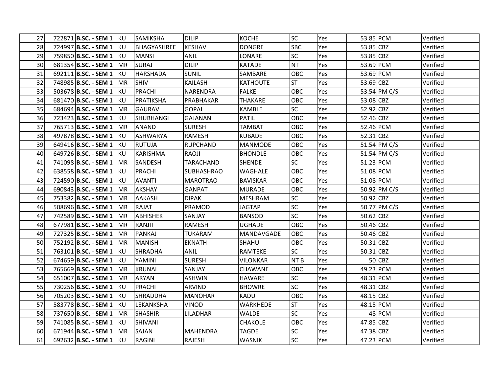| 27 | 722871 B.SC. - SEM 1 KU        |            | SAMIKSHA           | <b>DILIP</b>      | <b>KOCHE</b>    | <b>SC</b>       | Yes | 53.85 PCM |              | Verified |
|----|--------------------------------|------------|--------------------|-------------------|-----------------|-----------------|-----|-----------|--------------|----------|
| 28 | 724997 B.SC. - SEM 1 KU        |            | <b>BHAGYASHREE</b> | <b>KESHAV</b>     | <b>DONGRE</b>   | <b>SBC</b>      | Yes | 53.85 CBZ |              | Verified |
| 29 | 759850 B.SC. - SEM 1 KU        |            | <b>MANSI</b>       | <b>ANIL</b>       | LONARE          | <b>SC</b>       | Yes | 53.85 CBZ |              | Verified |
| 30 | 681354 B.SC. - SEM 1   MR      |            | <b>SURAJ</b>       | <b>DILIP</b>      | <b>KATADE</b>   | <b>NT</b>       | Yes | 53.69 PCM |              | Verified |
| 31 | 692111 B.SC. - SEM 1 KU        |            | <b>HARSHADA</b>    | <b>SUNIL</b>      | SAMBARE         | OBC             | Yes | 53.69 PCM |              | Verified |
| 32 | 748985 B.SC. - SEM 1   MR      |            | <b>SHIV</b>        | <b>KAILASH</b>    | KATHOUTE        | <b>ST</b>       | Yes | 53.69 CBZ |              | Verified |
| 33 | 503678 B.SC. - SEM 1           | IKU.       | <b>PRACHI</b>      | NARENDRA          | <b>FALKE</b>    | OBC             | Yes |           | 53.54 PM C/S | Verified |
| 34 | 681470 B.SC. - SEM 1 KU        |            | <b>PRATIKSHA</b>   | PRABHAKAR         | <b>THAKARE</b>  | OBC             | Yes | 53.08 CBZ |              | Verified |
| 35 | 684694 B.SC. - SEM 1           | TMR        | <b>GAURAV</b>      | GOPAL             | KAMBLE          | SC              | Yes | 52.92 CBZ |              | Verified |
| 36 | 723423 B.SC. - SEM 1 KU        |            | <b>SHUBHANGI</b>   | <b>GAJANAN</b>    | <b>PATIL</b>    | OBC             | Yes | 52.46 CBZ |              | Verified |
| 37 | 765713 B.SC. - SEM 1           | <b>IMR</b> | <b>ANAND</b>       | <b>SURESH</b>     | TAMBAT          | OBC             | Yes | 52.46 PCM |              | Verified |
| 38 | 497878 B.SC. - SEM 1 KU        |            | <b>ASHWARYA</b>    | <b>RAMESH</b>     | <b>KUBADE</b>   | OBC             | Yes | 52.31 CBZ |              | Verified |
| 39 | 649416 <b>B.SC. - SEM 1</b> KU |            | RUTUJA             | <b>RUPCHAND</b>   | <b>MANMODE</b>  | <b>OBC</b>      | Yes |           | 51.54 PM C/S | Verified |
| 40 | 649726 B.SC. - SEM 1 KU        |            | <b>KARISHMA</b>    | RAOJI             | <b>BHONDLE</b>  | OBC             | Yes |           | 51.54 PM C/S | Verified |
| 41 | 741098 B.SC. - SEM 1   MR      |            | SANDESH            | <b>TARACHAND</b>  | <b>SHENDE</b>   | <b>SC</b>       | Yes | 51.23 PCM |              | Verified |
| 42 | 638558 B.SC. - SEM 1 KU        |            | <b>PRACHI</b>      | <b>SUBHASHRAO</b> | <b>WAGHALE</b>  | OBC             | Yes | 51.08 PCM |              | Verified |
| 43 | 724590 B.SC. - SEM 1 KU        |            | <b>AVANTI</b>      | <b>MAROTRAO</b>   | <b>BAVISKAR</b> | OBC             | Yes | 51.08 PCM |              | Verified |
| 44 | 690843 B.SC. - SEM 1   MR      |            | <b>AKSHAY</b>      | <b>GANPAT</b>     | <b>MURADE</b>   | <b>OBC</b>      | Yes |           | 50.92 PM C/S | Verified |
| 45 | 753382 B.SC. - SEM 1           | IMR.       | AAKASH             | <b>DIPAK</b>      | <b>MESHRAM</b>  | <b>SC</b>       | Yes | 50.92 CBZ |              | Verified |
| 46 | 508696 B.SC. - SEM 1           | <b>IMR</b> | <b>RAJAT</b>       | PRAMOD            | <b>JAGTAP</b>   | <b>SC</b>       | Yes |           | 50.77 PM C/S | Verified |
| 47 | 742589 B.SC. - SEM 1           | IMR        | <b>ABHISHEK</b>    | SANJAY            | <b>BANSOD</b>   | <b>SC</b>       | Yes | 50.62 CBZ |              | Verified |
| 48 | 677981 B.SC. - SEM 1           | IMR.       | RANJIT             | <b>RAMESH</b>     | <b>UGHADE</b>   | OBC             | Yes | 50.46 CBZ |              | Verified |
| 49 | 727325 B.SC. - SEM 1           | IMR        | <b>PANKAJ</b>      | <b>TUKARAM</b>    | MANDAVGADE      | OBC             | Yes | 50.46 CBZ |              | Verified |
| 50 | 752192 B.SC. - SEM 1           | IMR        | <b>MANISH</b>      | <b>EKNATH</b>     | SHAHU           | OBC             | Yes | 50.31 CBZ |              | Verified |
| 51 | 763101 B.SC. - SEM 1           | IKU.       | SHRADHA            | ANIL              | RAMTEKE         | <b>SC</b>       | Yes | 50.31 CBZ |              | Verified |
| 52 | 674659 B.SC. - SEM 1 KU        |            | YAMINI             | <b>SURESH</b>     | <b>VILONKAR</b> | NT <sub>B</sub> | Yes |           | 50 CBZ       | Verified |
| 53 | 765669 B.SC. - SEM 1           | IMR        | <b>KRUNAL</b>      | SANJAY            | <b>CHAWANE</b>  | <b>OBC</b>      | Yes | 49.23 PCM |              | Verified |
| 54 | 651007 B.SC. - SEM 1           | IMR        | <b>ARYAN</b>       | <b>ASHWIN</b>     | HAWARE          | <b>SC</b>       | Yes | 48.31 PCM |              | Verified |
| 55 | 730256 B.SC. - SEM 1 KU        |            | PRACHI             | ARVIND            | <b>BHOWRE</b>   | <b>SC</b>       | Yes | 48.31 CBZ |              | Verified |
| 56 | 705203 B.SC. - SEM 1 KU        |            | SHRADDHA           | <b>MANOHAR</b>    | KADU            | OBC             | Yes | 48.15 CBZ |              | Verified |
| 57 | 583778 B.SC. - SEM 1 KU        |            | LEKANKSHA          | <b>VINOD</b>      | WARKHEDE        | <b>ST</b>       | Yes | 48.15 PCM |              | Verified |
| 58 | 737650 B.SC. - SEM 1   MR      |            | <b>SHASHIR</b>     | LILADHAR          | <b>WALDE</b>    | <b>SC</b>       | Yes |           | 48 PCM       | Verified |
| 59 | 741085 B.SC. - SEM 1           | IKU.       | SHIVANI            |                   | CHAKOLE         | OBC             | Yes | 47.85 CBZ |              | Verified |
| 60 | 671944 B.SC. - SEM 1   MR      |            | SAJAN              | <b>MAHENDRA</b>   | <b>TAGDE</b>    | <b>SC</b>       | Yes | 47.38 CBZ |              | Verified |
| 61 | 692632 B.SC. - SEM 1 KU        |            | <b>RAGINI</b>      | <b>RAJESH</b>     | <b>WASNIK</b>   | <b>SC</b>       | Yes | 47.23 PCM |              | Verified |